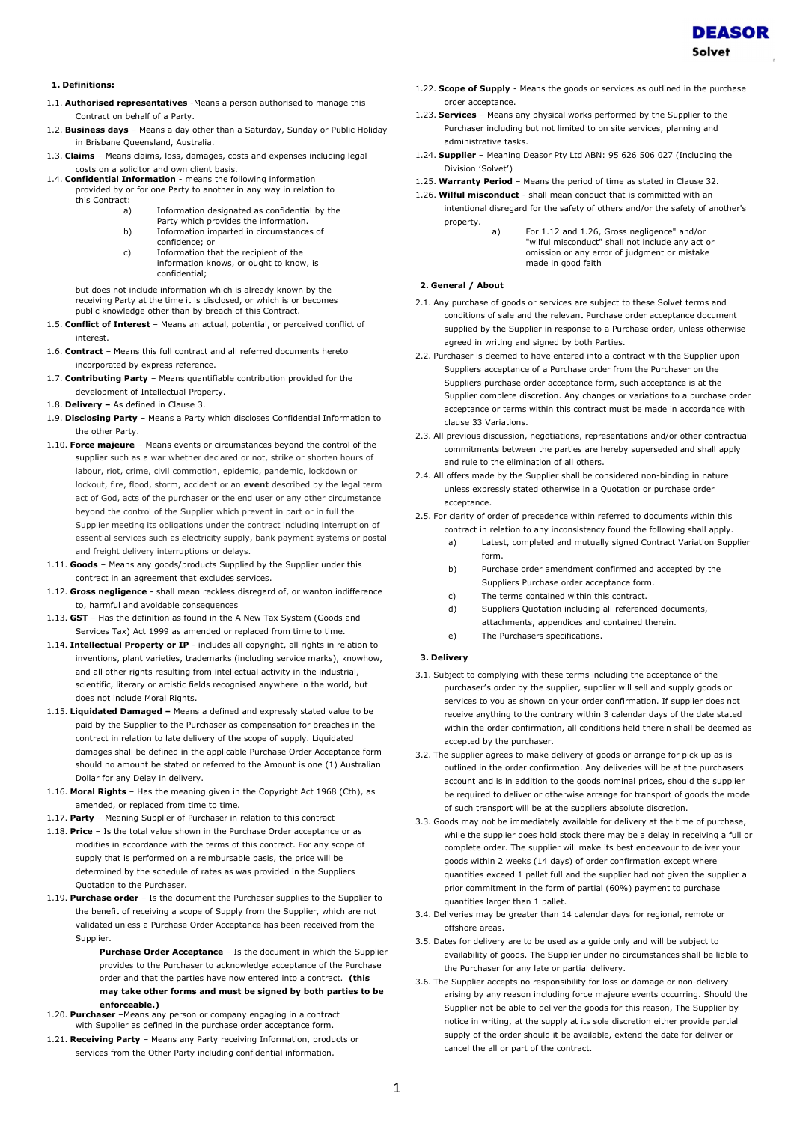

- 1.1. **Authorised representatives** -Means a person authorised to manage this Contract on behalf of a Party.
- 1.2. Business days Means a day other than a Saturday, Sunday or Public Holiday in Brisbane Queensland, Australia.
- 1.3. Claims Means claims, loss, damages, costs and expenses including legal costs on a solicitor and own client basis.
- 1.4. Confidential Information means the following information provided by or for one Party to another in any way in relation to this Contract:
	- a) Information designated as confidential by the
	- Party which provides the information. b) Information imparted in circumstances of confidence; or
	- c) Information that the recipient of the information knows, or ought to know, is confidential;

but does not include information which is already known by the receiving Party at the time it is disclosed, or which is or becomes public knowledge other than by breach of this Contract.

- 1.5. Conflict of Interest Means an actual, potential, or perceived conflict of interest.
- 1.6. Contract Means this full contract and all referred documents hereto incorporated by express reference.
- 1.7. Contributing Party Means quantifiable contribution provided for the development of Intellectual Property.
- 1.8. Delivery As defined in Clause 3.
- 1.9. Disclosing Party Means a Party which discloses Confidential Information to the other Party.
- 1.10. Force majeure Means events or circumstances beyond the control of the supplier such as a war whether declared or not, strike or shorten hours of labour, riot, crime, civil commotion, epidemic, pandemic, lockdown or lockout, fire, flood, storm, accident or an event described by the legal term act of God, acts of the purchaser or the end user or any other circumstance beyond the control of the Supplier which prevent in part or in full the Supplier meeting its obligations under the contract including interruption of essential services such as electricity supply, bank payment systems or postal and freight delivery interruptions or delays.
- 1.11. Goods Means any goods/products Supplied by the Supplier under this contract in an agreement that excludes services.
- 1.12. Gross negligence shall mean reckless disregard of, or wanton indifference to, harmful and avoidable consequences
- 1.13. GST Has the definition as found in the A New Tax System (Goods and Services Tax) Act 1999 as amended or replaced from time to time.
- 1.14. Intellectual Property or IP includes all copyright, all rights in relation to inventions, plant varieties, trademarks (including service marks), knowhow, and all other rights resulting from intellectual activity in the industrial. scientific, literary or artistic fields recognised anywhere in the world, but does not include Moral Rights.
- 1.15. Liquidated Damaged Means a defined and expressly stated value to be paid by the Supplier to the Purchaser as compensation for breaches in the contract in relation to late delivery of the scope of supply. Liquidated damages shall be defined in the applicable Purchase Order Acceptance form should no amount be stated or referred to the Amount is one (1) Australian Dollar for any Delay in delivery.
- 1.16. Moral Rights Has the meaning given in the Copyright Act 1968 (Cth), as amended, or replaced from time to time.
- 1.17. Party Meaning Supplier of Purchaser in relation to this contract
- 1.18. Price Is the total value shown in the Purchase Order acceptance or as modifies in accordance with the terms of this contract. For any scope of supply that is performed on a reimbursable basis, the price will be determined by the schedule of rates as was provided in the Suppliers Quotation to the Purchaser.
- 1.19. Purchase order Is the document the Purchaser supplies to the Supplier to the benefit of receiving a scope of Supply from the Supplier, which are not validated unless a Purchase Order Acceptance has been received from the Supplier.
	- Purchase Order Acceptance Is the document in which the Supplier provides to the Purchaser to acknowledge acceptance of the Purchase order and that the parties have now entered into a contract. (this may take other forms and must be signed by both parties to be enforceable.)
- 1.20. Purchaser –Means any person or company engaging in a contract with Supplier as defined in the purchase order acceptance form.
- 1.21. Receiving Party Means any Party receiving Information, products or services from the Other Party including confidential information.
- 1.22. Scope of Supply Means the goods or services as outlined in the purchase order acceptance.
- 1.23. Services Means any physical works performed by the Supplier to the Purchaser including but not limited to on site services, planning and administrative tasks.
- 1.24. Supplier Meaning Deasor Pty Ltd ABN: 95 626 506 027 (Including the Division 'Solvet')
- 1.25. Warranty Period Means the period of time as stated in Clause 32.
- 1.26. Wilful misconduct shall mean conduct that is committed with an intentional disregard for the safety of others and/or the safety of another's property.
	- For 1.12 and 1.26, Gross negligence" and/or "wilful misconduct" shall not include any act or omission or any error of judgment or mistake made in good faith

# 2. General / About

- 2.1. Any purchase of goods or services are subject to these Solvet terms and conditions of sale and the relevant Purchase order acceptance document supplied by the Supplier in response to a Purchase order, unless otherwise agreed in writing and signed by both Parties.
- 2.2. Purchaser is deemed to have entered into a contract with the Supplier upon Suppliers acceptance of a Purchase order from the Purchaser on the Suppliers purchase order acceptance form, such acceptance is at the Supplier complete discretion. Any changes or variations to a purchase order acceptance or terms within this contract must be made in accordance with clause 33 Variations.
- 2.3. All previous discussion, negotiations, representations and/or other contractual commitments between the parties are hereby superseded and shall apply and rule to the elimination of all others.
- 2.4. All offers made by the Supplier shall be considered non-binding in nature unless expressly stated otherwise in a Quotation or purchase order acceptance.
- 2.5. For clarity of order of precedence within referred to documents within this contract in relation to any inconsistency found the following shall apply.
	- a) Latest, completed and mutually signed Contract Variation Supplier form.
	- b) Purchase order amendment confirmed and accepted by the Suppliers Purchase order acceptance form.
	- c) The terms contained within this contract.
	- d) Suppliers Quotation including all referenced documents, attachments, appendices and contained therein.
	- e) The Purchasers specifications.

## 3. Delivery

- 3.1. Subject to complying with these terms including the acceptance of the purchaser's order by the supplier, supplier will sell and supply goods or services to you as shown on your order confirmation. If supplier does not receive anything to the contrary within 3 calendar days of the date stated within the order confirmation, all conditions held therein shall be deemed as accepted by the purchaser.
- 3.2. The supplier agrees to make delivery of goods or arrange for pick up as is outlined in the order confirmation. Any deliveries will be at the purchasers account and is in addition to the goods nominal prices, should the supplier be required to deliver or otherwise arrange for transport of goods the mode of such transport will be at the suppliers absolute discretion.
- 3.3. Goods may not be immediately available for delivery at the time of purchase, while the supplier does hold stock there may be a delay in receiving a full or complete order. The supplier will make its best endeavour to deliver your goods within 2 weeks (14 days) of order confirmation except where quantities exceed 1 pallet full and the supplier had not given the supplier a prior commitment in the form of partial (60%) payment to purchase quantities larger than 1 pallet.
- 3.4. Deliveries may be greater than 14 calendar days for regional, remote or offshore areas.
- 3.5. Dates for delivery are to be used as a guide only and will be subject to availability of goods. The Supplier under no circumstances shall be liable to the Purchaser for any late or partial delivery.
- 3.6. The Supplier accepts no responsibility for loss or damage or non-delivery arising by any reason including force majeure events occurring. Should the Supplier not be able to deliver the goods for this reason, The Supplier by notice in writing, at the supply at its sole discretion either provide partial supply of the order should it be available, extend the date for deliver or cancel the all or part of the contract.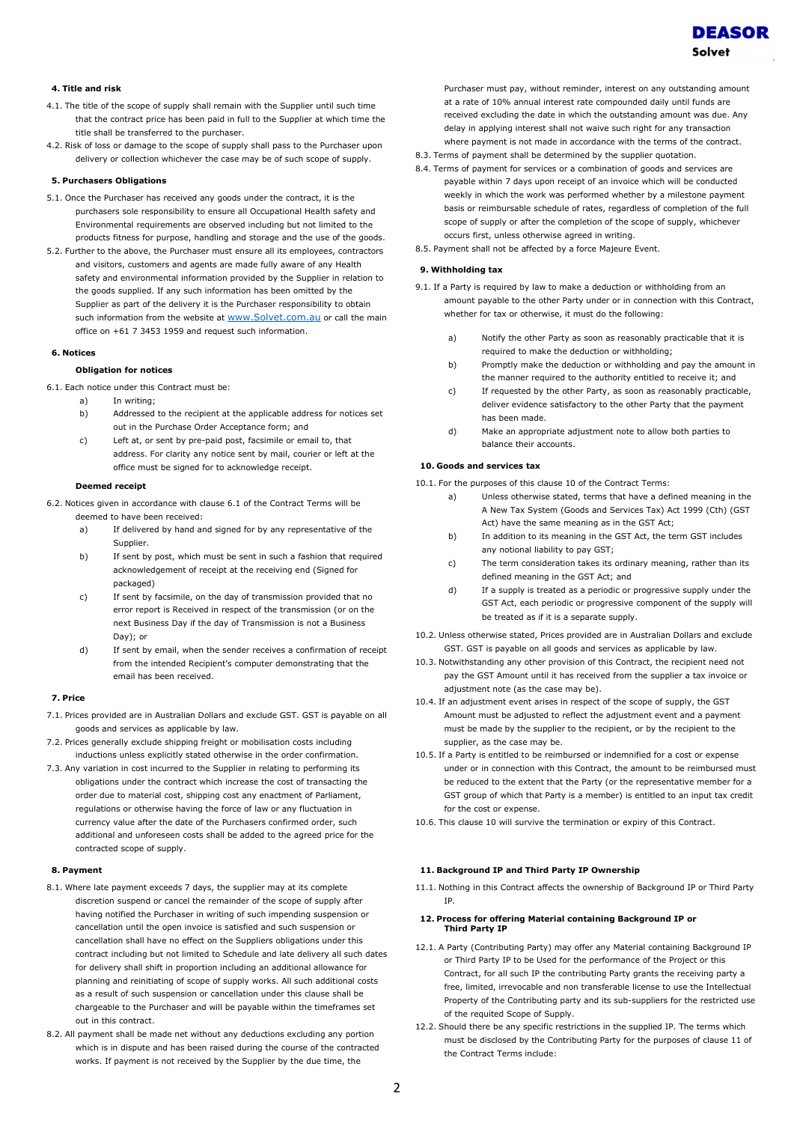

## 4. Title and risk

- 4.1. The title of the scope of supply shall remain with the Supplier until such time that the contract price has been paid in full to the Supplier at which time the title shall be transferred to the purchaser.
- 4.2. Risk of loss or damage to the scope of supply shall pass to the Purchaser upon delivery or collection whichever the case may be of such scope of supply.

# 5. Purchasers Obligations

- 5.1. Once the Purchaser has received any goods under the contract, it is the purchasers sole responsibility to ensure all Occupational Health safety and Environmental requirements are observed including but not limited to the products fitness for purpose, handling and storage and the use of the goods.
- 5.2. Further to the above, the Purchaser must ensure all its employees, contractors and visitors, customers and agents are made fully aware of any Health safety and environmental information provided by the Supplier in relation to the goods supplied. If any such information has been omitted by the Supplier as part of the delivery it is the Purchaser responsibility to obtain such information from the website at www.Solvet.com.au or call the main office on +61 7 3453 1959 and request such information.

#### 6. Notices

## Obligation for notices

6.1. Each notice under this Contract must be:

- a) In writing;
- b) Addressed to the recipient at the applicable address for notices set out in the Purchase Order Acceptance form; and
- c) Left at, or sent by pre-paid post, facsimile or email to, that address. For clarity any notice sent by mail, courier or left at the office must be signed for to acknowledge receipt.

#### Deemed receipt

6.2. Notices given in accordance with clause 6.1 of the Contract Terms will be deemed to have been received:

- a) If delivered by hand and signed for by any representative of the Supplier.
- b) If sent by post, which must be sent in such a fashion that required acknowledgement of receipt at the receiving end (Signed for packaged)
- c) If sent by facsimile, on the day of transmission provided that no error report is Received in respect of the transmission (or on the next Business Day if the day of Transmission is not a Business Day); or
- d) If sent by email, when the sender receives a confirmation of receipt from the intended Recipient's computer demonstrating that the email has been received.

### 7. Price

- 7.1. Prices provided are in Australian Dollars and exclude GST. GST is payable on all goods and services as applicable by law.
- 7.2. Prices generally exclude shipping freight or mobilisation costs including inductions unless explicitly stated otherwise in the order confirmation.
- 7.3. Any variation in cost incurred to the Supplier in relating to performing its obligations under the contract which increase the cost of transacting the order due to material cost, shipping cost any enactment of Parliament, regulations or otherwise having the force of law or any fluctuation in currency value after the date of the Purchasers confirmed order, such additional and unforeseen costs shall be added to the agreed price for the contracted scope of supply.

#### 8. Payment

- 8.1. Where late payment exceeds 7 days, the supplier may at its complete discretion suspend or cancel the remainder of the scope of supply after having notified the Purchaser in writing of such impending suspension or cancellation until the open invoice is satisfied and such suspension or cancellation shall have no effect on the Suppliers obligations under this contract including but not limited to Schedule and late delivery all such dates for delivery shall shift in proportion including an additional allowance for planning and reinitiating of scope of supply works. All such additional costs as a result of such suspension or cancellation under this clause shall be chargeable to the Purchaser and will be payable within the timeframes set out in this contract.
- 8.2. All payment shall be made net without any deductions excluding any portion which is in dispute and has been raised during the course of the contracted works. If payment is not received by the Supplier by the due time, the

Purchaser must pay, without reminder, interest on any outstanding amount at a rate of 10% annual interest rate compounded daily until funds are received excluding the date in which the outstanding amount was due. Any delay in applying interest shall not waive such right for any transaction where payment is not made in accordance with the terms of the contract.

- 8.3. Terms of payment shall be determined by the supplier quotation.
- 8.4. Terms of payment for services or a combination of goods and services are payable within 7 days upon receipt of an invoice which will be conducted weekly in which the work was performed whether by a milestone payment basis or reimbursable schedule of rates, regardless of completion of the full scope of supply or after the completion of the scope of supply, whichever occurs first, unless otherwise agreed in writing.
- 8.5. Payment shall not be affected by a force Majeure Event.

# 9. Withholding tax

- 9.1. If a Party is required by law to make a deduction or withholding from an amount payable to the other Party under or in connection with this Contract, whether for tax or otherwise, it must do the following:
	- a) Notify the other Party as soon as reasonably practicable that it is required to make the deduction or withholding;
	- b) Promptly make the deduction or withholding and pay the amount in the manner required to the authority entitled to receive it; and
	- c) If requested by the other Party, as soon as reasonably practicable, deliver evidence satisfactory to the other Party that the payment has been made.
	- d) Make an appropriate adjustment note to allow both parties to balance their accounts.

## 10. Goods and services tax

10.1. For the purposes of this clause 10 of the Contract Terms:

- a) Unless otherwise stated, terms that have a defined meaning in the A New Tax System (Goods and Services Tax) Act 1999 (Cth) (GST Act) have the same meaning as in the GST Act;
- b) In addition to its meaning in the GST Act, the term GST includes any notional liability to pay GST;
- c) The term consideration takes its ordinary meaning, rather than its defined meaning in the GST Act; and
- d) If a supply is treated as a periodic or progressive supply under the GST Act, each periodic or progressive component of the supply will be treated as if it is a separate supply.
- 10.2. Unless otherwise stated, Prices provided are in Australian Dollars and exclude GST. GST is payable on all goods and services as applicable by law.
- 10.3. Notwithstanding any other provision of this Contract, the recipient need not pay the GST Amount until it has received from the supplier a tax invoice or adjustment note (as the case may be).
- 10.4. If an adjustment event arises in respect of the scope of supply, the GST Amount must be adjusted to reflect the adjustment event and a payment must be made by the supplier to the recipient, or by the recipient to the supplier, as the case may be.
- 10.5. If a Party is entitled to be reimbursed or indemnified for a cost or expense under or in connection with this Contract, the amount to be reimbursed must be reduced to the extent that the Party (or the representative member for a GST group of which that Party is a member) is entitled to an input tax credit for the cost or expense.
- 10.6. This clause 10 will survive the termination or expiry of this Contract.

### 11. Background IP and Third Party IP Ownership

11.1. Nothing in this Contract affects the ownership of Background IP or Third Party IP.

## 12. Process for offering Material containing Background IP or Third Party IP

- 12.1. A Party (Contributing Party) may offer any Material containing Background IP or Third Party IP to be Used for the performance of the Project or this Contract, for all such IP the contributing Party grants the receiving party a free, limited, irrevocable and non transferable license to use the Intellectual Property of the Contributing party and its sub-suppliers for the restricted use of the requited Scope of Supply.
- 12.2. Should there be any specific restrictions in the supplied IP. The terms which must be disclosed by the Contributing Party for the purposes of clause 11 of the Contract Terms include: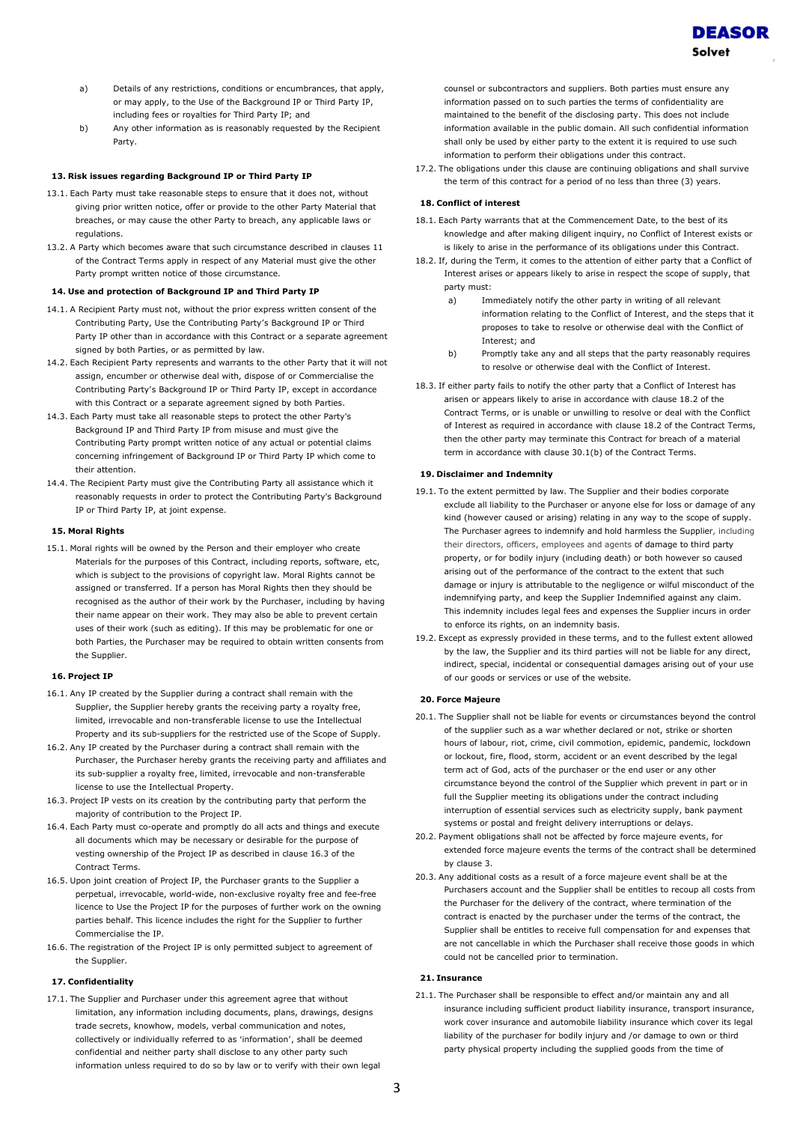

- a) Details of any restrictions, conditions or encumbrances, that apply, or may apply, to the Use of the Background IP or Third Party IP, including fees or royalties for Third Party IP; and
- b) Any other information as is reasonably requested by the Recipient Party.

## 13. Risk issues regarding Background IP or Third Party IP

- 13.1. Each Party must take reasonable steps to ensure that it does not, without giving prior written notice, offer or provide to the other Party Material that breaches, or may cause the other Party to breach, any applicable laws or regulations.
- 13.2. A Party which becomes aware that such circumstance described in clauses 11 of the Contract Terms apply in respect of any Material must give the other Party prompt written notice of those circumstance.

#### 14. Use and protection of Background IP and Third Party IP

- 14.1. A Recipient Party must not, without the prior express written consent of the Contributing Party, Use the Contributing Party's Background IP or Third Party IP other than in accordance with this Contract or a separate agreement signed by both Parties, or as permitted by law.
- 14.2. Each Recipient Party represents and warrants to the other Party that it will not assign, encumber or otherwise deal with, dispose of or Commercialise the Contributing Party's Background IP or Third Party IP, except in accordance with this Contract or a separate agreement signed by both Parties.
- 14.3. Each Party must take all reasonable steps to protect the other Party's Background IP and Third Party IP from misuse and must give the Contributing Party prompt written notice of any actual or potential claims concerning infringement of Background IP or Third Party IP which come to their attention.
- 14.4. The Recipient Party must give the Contributing Party all assistance which it reasonably requests in order to protect the Contributing Party's Background IP or Third Party IP, at joint expense.

## 15. Moral Rights

15.1. Moral rights will be owned by the Person and their employer who create Materials for the purposes of this Contract, including reports, software, etc, which is subject to the provisions of copyright law. Moral Rights cannot be assigned or transferred. If a person has Moral Rights then they should be recognised as the author of their work by the Purchaser, including by having their name appear on their work. They may also be able to prevent certain uses of their work (such as editing). If this may be problematic for one or both Parties, the Purchaser may be required to obtain written consents from the Supplier.

#### 16. Project IP

- 16.1. Any IP created by the Supplier during a contract shall remain with the Supplier, the Supplier hereby grants the receiving party a royalty free, limited, irrevocable and non-transferable license to use the Intellectual Property and its sub-suppliers for the restricted use of the Scope of Supply.
- 16.2. Any IP created by the Purchaser during a contract shall remain with the Purchaser, the Purchaser hereby grants the receiving party and affiliates and its sub-supplier a royalty free, limited, irrevocable and non-transferable license to use the Intellectual Property.
- 16.3. Project IP vests on its creation by the contributing party that perform the majority of contribution to the Project IP.
- 16.4. Each Party must co-operate and promptly do all acts and things and execute all documents which may be necessary or desirable for the purpose of vesting ownership of the Project IP as described in clause 16.3 of the Contract Terms.
- 16.5. Upon joint creation of Project IP, the Purchaser grants to the Supplier a perpetual, irrevocable, world-wide, non-exclusive royalty free and fee-free licence to Use the Project IP for the purposes of further work on the owning parties behalf. This licence includes the right for the Supplier to further Commercialise the IP.
- 16.6. The registration of the Project IP is only permitted subject to agreement of the Supplier.

### 17. Confidentiality

17.1. The Supplier and Purchaser under this agreement agree that without limitation, any information including documents, plans, drawings, designs trade secrets, knowhow, models, verbal communication and notes, collectively or individually referred to as 'information', shall be deemed confidential and neither party shall disclose to any other party such information unless required to do so by law or to verify with their own legal

counsel or subcontractors and suppliers. Both parties must ensure any information passed on to such parties the terms of confidentiality are maintained to the benefit of the disclosing party. This does not include information available in the public domain. All such confidential information shall only be used by either party to the extent it is required to use such information to perform their obligations under this contract.

17.2. The obligations under this clause are continuing obligations and shall survive the term of this contract for a period of no less than three (3) years.

## 18. Conflict of interest

- 18.1. Each Party warrants that at the Commencement Date, to the best of its knowledge and after making diligent inquiry, no Conflict of Interest exists or is likely to arise in the performance of its obligations under this Contract.
- 18.2. If, during the Term, it comes to the attention of either party that a Conflict of Interest arises or appears likely to arise in respect the scope of supply, that party must:
	- a) Immediately notify the other party in writing of all relevant information relating to the Conflict of Interest, and the steps that it proposes to take to resolve or otherwise deal with the Conflict of Interest; and
	- b) Promptly take any and all steps that the party reasonably requires to resolve or otherwise deal with the Conflict of Interest.
- 18.3. If either party fails to notify the other party that a Conflict of Interest has arisen or appears likely to arise in accordance with clause 18.2 of the Contract Terms, or is unable or unwilling to resolve or deal with the Conflict of Interest as required in accordance with clause 18.2 of the Contract Terms, then the other party may terminate this Contract for breach of a material term in accordance with clause 30.1(b) of the Contract Terms.

### 19. Disclaimer and Indemnity

- 19.1. To the extent permitted by law. The Supplier and their bodies corporate exclude all liability to the Purchaser or anyone else for loss or damage of any kind (however caused or arising) relating in any way to the scope of supply. The Purchaser agrees to indemnify and hold harmless the Supplier, including their directors, officers, employees and agents of damage to third party property, or for bodily injury (including death) or both however so caused arising out of the performance of the contract to the extent that such damage or injury is attributable to the negligence or wilful misconduct of the indemnifying party, and keep the Supplier Indemnified against any claim. This indemnity includes legal fees and expenses the Supplier incurs in order to enforce its rights, on an indemnity basis.
- 19.2. Except as expressly provided in these terms, and to the fullest extent allowed by the law, the Supplier and its third parties will not be liable for any direct, indirect, special, incidental or consequential damages arising out of your use of our goods or services or use of the website.

### 20. Force Majeure

- 20.1. The Supplier shall not be liable for events or circumstances beyond the control of the supplier such as a war whether declared or not, strike or shorten hours of labour, riot, crime, civil commotion, epidemic, pandemic, lockdown or lockout, fire, flood, storm, accident or an event described by the legal term act of God, acts of the purchaser or the end user or any other circumstance beyond the control of the Supplier which prevent in part or in full the Supplier meeting its obligations under the contract including interruption of essential services such as electricity supply, bank payment systems or postal and freight delivery interruptions or delays.
- 20.2. Payment obligations shall not be affected by force majeure events, for extended force majeure events the terms of the contract shall be determined by clause 3.
- 20.3. Any additional costs as a result of a force majeure event shall be at the Purchasers account and the Supplier shall be entitles to recoup all costs from the Purchaser for the delivery of the contract, where termination of the contract is enacted by the purchaser under the terms of the contract, the Supplier shall be entitles to receive full compensation for and expenses that are not cancellable in which the Purchaser shall receive those goods in which could not be cancelled prior to termination.

### 21. Insurance

21.1. The Purchaser shall be responsible to effect and/or maintain any and all insurance including sufficient product liability insurance, transport insurance, work cover insurance and automobile liability insurance which cover its legal liability of the purchaser for bodily injury and /or damage to own or third party physical property including the supplied goods from the time of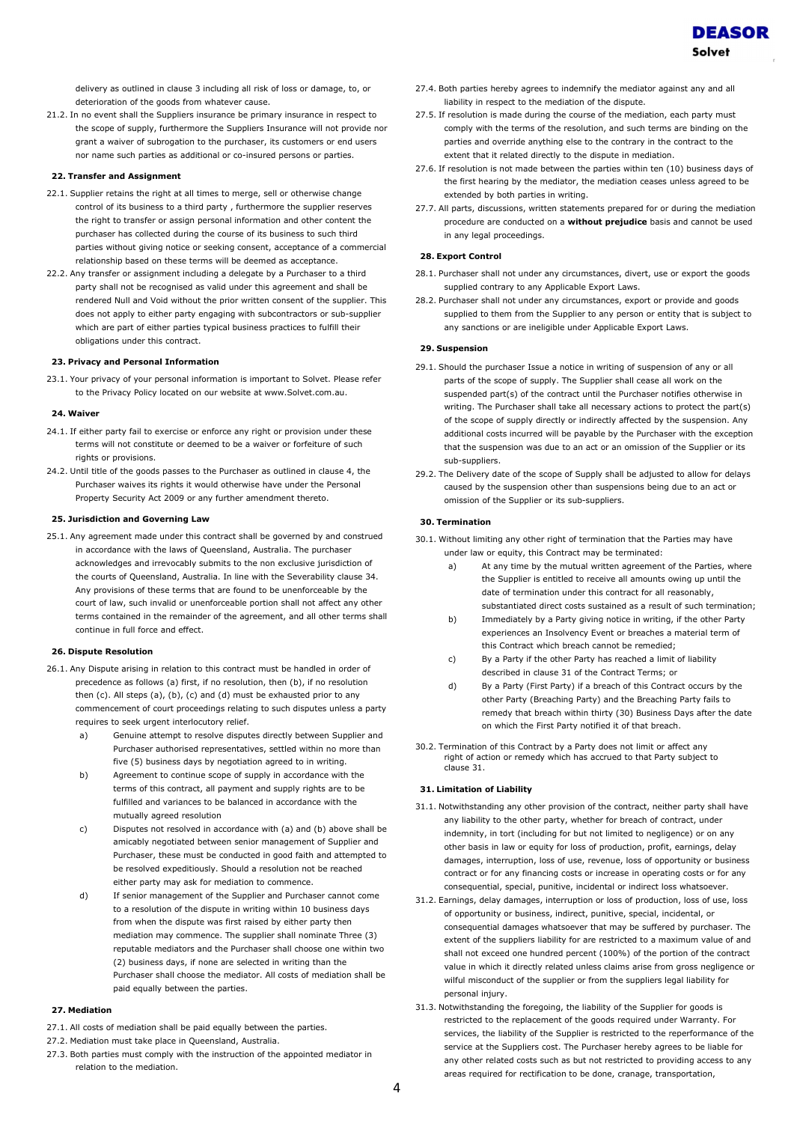delivery as outlined in clause 3 including all risk of loss or damage, to, or deterioration of the goods from whatever cause.

21.2. In no event shall the Suppliers insurance be primary insurance in respect to the scope of supply, furthermore the Suppliers Insurance will not provide nor grant a waiver of subrogation to the purchaser, its customers or end users nor name such parties as additional or co-insured persons or parties.

## 22. Transfer and Assignment

- 22.1. Supplier retains the right at all times to merge, sell or otherwise change control of its business to a third party , furthermore the supplier reserves the right to transfer or assign personal information and other content the purchaser has collected during the course of its business to such third parties without giving notice or seeking consent, acceptance of a commercial relationship based on these terms will be deemed as acceptance.
- 22.2. Any transfer or assignment including a delegate by a Purchaser to a third party shall not be recognised as valid under this agreement and shall be rendered Null and Void without the prior written consent of the supplier. This does not apply to either party engaging with subcontractors or sub-supplier which are part of either parties typical business practices to fulfill their obligations under this contract.

### 23. Privacy and Personal Information

23.1. Your privacy of your personal information is important to Solvet. Please refer to the Privacy Policy located on our website at www.Solvet.com.au.

### 24. Waiver

- 24.1. If either party fail to exercise or enforce any right or provision under these terms will not constitute or deemed to be a waiver or forfeiture of such rights or provisions.
- 24.2. Until title of the goods passes to the Purchaser as outlined in clause 4, the Purchaser waives its rights it would otherwise have under the Personal Property Security Act 2009 or any further amendment thereto.

## 25. Jurisdiction and Governing Law

25.1. Any agreement made under this contract shall be governed by and construed in accordance with the laws of Queensland, Australia. The purchaser acknowledges and irrevocably submits to the non exclusive jurisdiction of the courts of Queensland, Australia. In line with the Severability clause 34. Any provisions of these terms that are found to be unenforceable by the court of law, such invalid or unenforceable portion shall not affect any other terms contained in the remainder of the agreement, and all other terms shall continue in full force and effect.

## 26. Dispute Resolution

- 26.1. Any Dispute arising in relation to this contract must be handled in order of precedence as follows (a) first, if no resolution, then (b), if no resolution then  $(c)$ . All steps  $(a)$ ,  $(b)$ ,  $(c)$  and  $(d)$  must be exhausted prior to any commencement of court proceedings relating to such disputes unless a party requires to seek urgent interlocutory relief.
	- a) Genuine attempt to resolve disputes directly between Supplier and Purchaser authorised representatives, settled within no more than five (5) business days by negotiation agreed to in writing.
	- b) Agreement to continue scope of supply in accordance with the terms of this contract, all payment and supply rights are to be fulfilled and variances to be balanced in accordance with the mutually agreed resolution
	- c) Disputes not resolved in accordance with (a) and (b) above shall be amicably negotiated between senior management of Supplier and Purchaser, these must be conducted in good faith and attempted to be resolved expeditiously. Should a resolution not be reached either party may ask for mediation to commence.
	- d) If senior management of the Supplier and Purchaser cannot come to a resolution of the dispute in writing within 10 business days from when the dispute was first raised by either party then mediation may commence. The supplier shall nominate Three (3) reputable mediators and the Purchaser shall choose one within two (2) business days, if none are selected in writing than the Purchaser shall choose the mediator. All costs of mediation shall be paid equally between the parties.

## 27. Mediation

- 27.1. All costs of mediation shall be paid equally between the parties.
- 27.2. Mediation must take place in Queensland, Australia.
- 27.3. Both parties must comply with the instruction of the appointed mediator in relation to the mediation.
- 27.4. Both parties hereby agrees to indemnify the mediator against any and all liability in respect to the mediation of the dispute.
- 27.5. If resolution is made during the course of the mediation, each party must comply with the terms of the resolution, and such terms are binding on the parties and override anything else to the contrary in the contract to the extent that it related directly to the dispute in mediation.
- 27.6. If resolution is not made between the parties within ten (10) business days of the first hearing by the mediator, the mediation ceases unless agreed to be extended by both parties in writing.
- 27.7. All parts, discussions, written statements prepared for or during the mediation procedure are conducted on a **without prejudice** basis and cannot be used in any legal proceedings.

## 28. Export Control

- 28.1. Purchaser shall not under any circumstances, divert, use or export the goods supplied contrary to any Applicable Export Laws.
- 28.2. Purchaser shall not under any circumstances, export or provide and goods supplied to them from the Supplier to any person or entity that is subject to any sanctions or are ineligible under Applicable Export Laws.

## 29. Suspension

- 29.1. Should the purchaser Issue a notice in writing of suspension of any or all parts of the scope of supply. The Supplier shall cease all work on the suspended part(s) of the contract until the Purchaser notifies otherwise in writing. The Purchaser shall take all necessary actions to protect the part(s) of the scope of supply directly or indirectly affected by the suspension. Any additional costs incurred will be payable by the Purchaser with the exception that the suspension was due to an act or an omission of the Supplier or its sub-suppliers.
- 29.2. The Delivery date of the scope of Supply shall be adjusted to allow for delays caused by the suspension other than suspensions being due to an act or omission of the Supplier or its sub-suppliers.

# 30. Termination

- 30.1. Without limiting any other right of termination that the Parties may have under law or equity, this Contract may be terminated:
	- a) At any time by the mutual written agreement of the Parties, where the Supplier is entitled to receive all amounts owing up until the date of termination under this contract for all reasonably, substantiated direct costs sustained as a result of such termination;
	- b) Immediately by a Party giving notice in writing, if the other Party experiences an Insolvency Event or breaches a material term of this Contract which breach cannot be remedied;
	- c) By a Party if the other Party has reached a limit of liability described in clause 31 of the Contract Terms; or
	- d) By a Party (First Party) if a breach of this Contract occurs by the other Party (Breaching Party) and the Breaching Party fails to remedy that breach within thirty (30) Business Days after the date on which the First Party notified it of that breach.
- 30.2. Termination of this Contract by a Party does not limit or affect any right of action or remedy which has accrued to that Party subject to clause 31.

#### 31. Limitation of Liability

- 31.1. Notwithstanding any other provision of the contract, neither party shall have any liability to the other party, whether for breach of contract, under indemnity, in tort (including for but not limited to negligence) or on any other basis in law or equity for loss of production, profit, earnings, delay damages, interruption, loss of use, revenue, loss of opportunity or business contract or for any financing costs or increase in operating costs or for any consequential, special, punitive, incidental or indirect loss whatsoever.
- 31.2. Earnings, delay damages, interruption or loss of production, loss of use, loss of opportunity or business, indirect, punitive, special, incidental, or consequential damages whatsoever that may be suffered by purchaser. The extent of the suppliers liability for are restricted to a maximum value of and shall not exceed one hundred percent (100%) of the portion of the contract value in which it directly related unless claims arise from gross negligence or wilful misconduct of the supplier or from the suppliers legal liability for personal injury.
- 31.3. Notwithstanding the foregoing, the liability of the Supplier for goods is restricted to the replacement of the goods required under Warranty. For services, the liability of the Supplier is restricted to the reperformance of the service at the Suppliers cost. The Purchaser hereby agrees to be liable for any other related costs such as but not restricted to providing access to any areas required for rectification to be done, cranage, transportation,